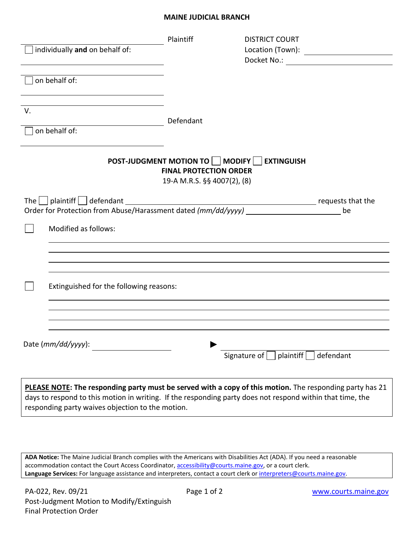## **MAINE JUDICIAL BRANCH**

|    | individually and on behalf of:                                                                                                                                                                                        | Plaintiff                                                                                              | <b>DISTRICT COURT</b>                          |  |
|----|-----------------------------------------------------------------------------------------------------------------------------------------------------------------------------------------------------------------------|--------------------------------------------------------------------------------------------------------|------------------------------------------------|--|
|    | on behalf of:                                                                                                                                                                                                         |                                                                                                        |                                                |  |
| V. |                                                                                                                                                                                                                       | Defendant                                                                                              |                                                |  |
|    | on behalf of:                                                                                                                                                                                                         |                                                                                                        |                                                |  |
|    |                                                                                                                                                                                                                       | POST-JUDGMENT MOTION TO     MODIFY    <br><b>FINAL PROTECTION ORDER</b><br>19-A M.R.S. §§ 4007(2), (8) | <b>EXTINGUISH</b>                              |  |
|    | Order for Protection from Abuse/Harassment dated (mm/dd/yyyy) _____________________________ be                                                                                                                        |                                                                                                        |                                                |  |
|    | Modified as follows:                                                                                                                                                                                                  |                                                                                                        |                                                |  |
|    |                                                                                                                                                                                                                       |                                                                                                        |                                                |  |
|    | Extinguished for the following reasons:                                                                                                                                                                               |                                                                                                        |                                                |  |
|    |                                                                                                                                                                                                                       |                                                                                                        |                                                |  |
|    | Date (mm/dd/yyyy):                                                                                                                                                                                                    |                                                                                                        | Signature of $\Box$ plaintiff $\Box$ defendant |  |
|    | PLEASE NOTE: The responding party must be served with a copy of this motion. The responding party has 21<br>days to respond to this motion in writing. If the responding party does not respond within that time, the |                                                                                                        |                                                |  |

responding party waives objection to the motion.

**ADA Notice:** The Maine Judicial Branch complies with the Americans with Disabilities Act (ADA). If you need a reasonable accommodation contact the Court Access Coordinator, **accessibility@courts.maine.gov**, or a court clerk. Language Services: For language assistance and interpreters, contact a court clerk or [interpreters@courts.maine.gov.](mailto:interpreters@courts.maine.gov)